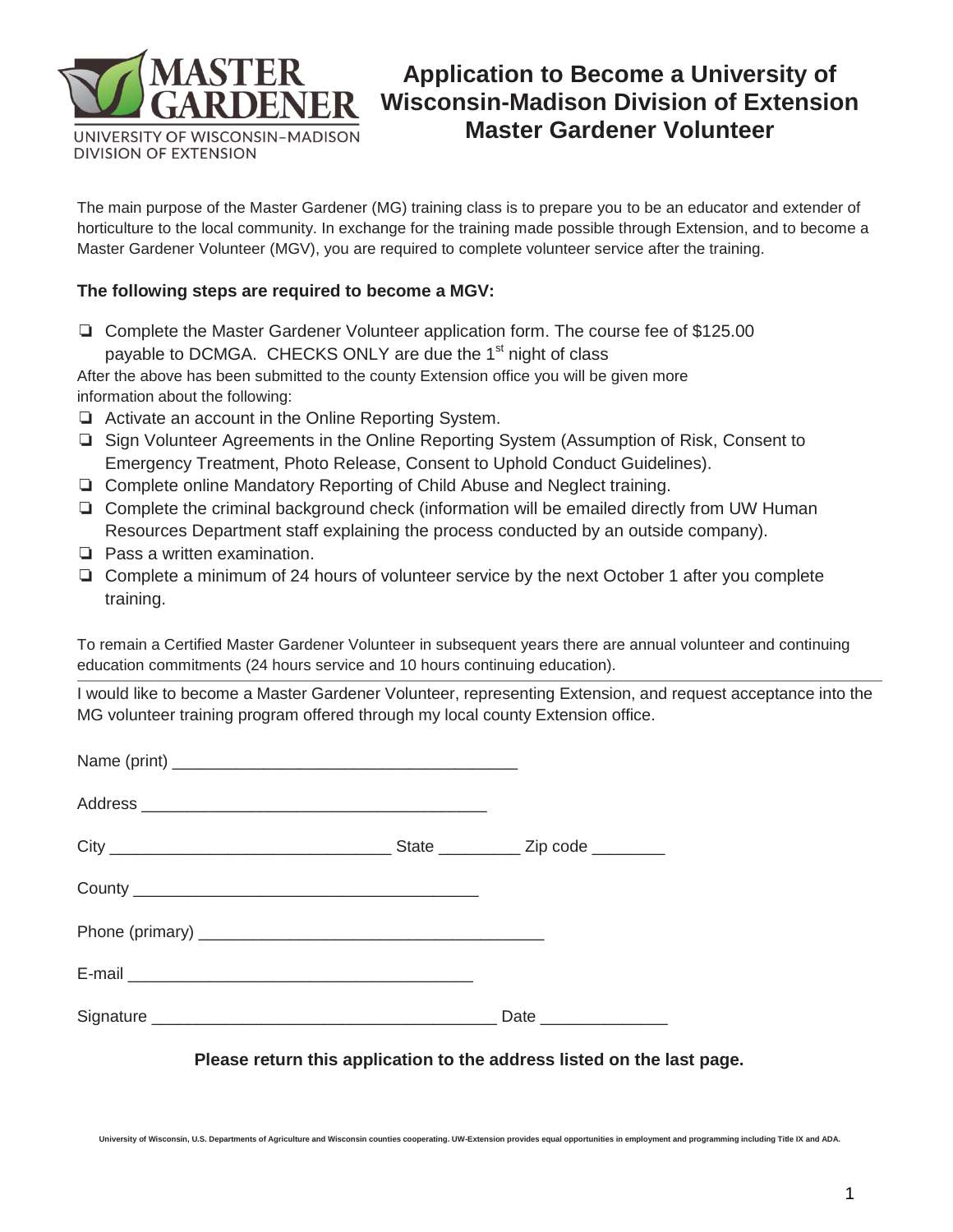

# **Application to Become a University of Wisconsin-Madison Division of Extension Master Gardener Volunteer**

The main purpose of the Master Gardener (MG) training class is to prepare you to be an educator and extender of horticulture to the local community. In exchange for the training made possible through Extension, and to become a Master Gardener Volunteer (MGV), you are required to complete volunteer service after the training.

#### **The following steps are required to become a MGV:**

❏ Complete the Master Gardener Volunteer application form. The course fee of \$125.00 payable to DCMGA. CHECKS ONLY are due the 1<sup>st</sup> night of class

After the above has been submitted to the county Extension office you will be given more information about the following:

- ❏ Activate an account in the Online Reporting System.
- ❏ Sign Volunteer Agreements in the Online Reporting System (Assumption of Risk, Consent to Emergency Treatment, Photo Release, Consent to Uphold Conduct Guidelines).
- ❏ Complete online Mandatory Reporting of Child Abuse and Neglect training.
- ❏ Complete the criminal background check (information will be emailed directly from UW Human Resources Department staff explaining the process conducted by an outside company).
- ❏ Pass a written examination.
- ❏ Complete a minimum of 24 hours of volunteer service by the next October 1 after you complete training.

To remain a Certified Master Gardener Volunteer in subsequent years there are annual volunteer and continuing education commitments (24 hours service and 10 hours continuing education).

I would like to become a Master Gardener Volunteer, representing Extension, and request acceptance into the MG volunteer training program offered through my local county Extension office.

| E-mail entrance and the contract of the contract of the contract of the contract of the contract of the contract of the contract of the contract of the contract of the contract of the contract of the contract of the contra |                       |
|--------------------------------------------------------------------------------------------------------------------------------------------------------------------------------------------------------------------------------|-----------------------|
|                                                                                                                                                                                                                                | Date ________________ |

**Please return this application to the address listed on the last page.** 

**University of Wisconsin, U.S. Departments of Agriculture and Wisconsin counties cooperating. UW-Extension provides equal opportunities in employment and programming including Title IX and ADA.**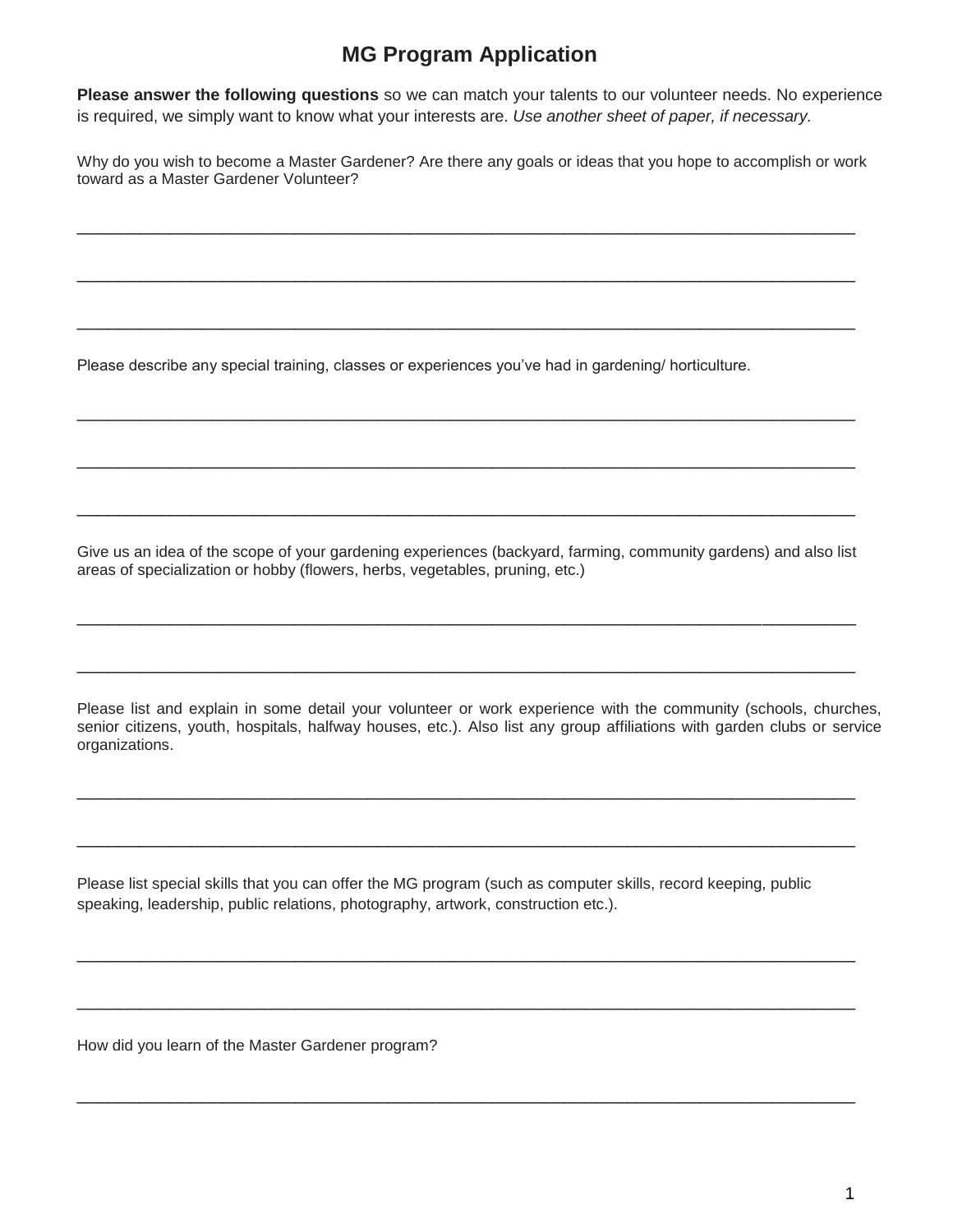## **MG Program Application**

**Please answer the following questions** so we can match your talents to our volunteer needs. No experience is required, we simply want to know what your interests are. *Use another sheet of paper, if necessary.* 

Why do you wish to become a Master Gardener? Are there any goals or ideas that you hope to accomplish or work toward as a Master Gardener Volunteer?

\_\_\_\_\_\_\_\_\_\_\_\_\_\_\_\_\_\_\_\_\_\_\_\_\_\_\_\_\_\_\_\_\_\_\_\_\_\_\_\_\_\_\_\_\_\_\_\_\_\_\_\_\_\_\_\_\_\_\_\_\_\_\_\_\_\_\_\_\_\_\_\_\_\_\_

\_\_\_\_\_\_\_\_\_\_\_\_\_\_\_\_\_\_\_\_\_\_\_\_\_\_\_\_\_\_\_\_\_\_\_\_\_\_\_\_\_\_\_\_\_\_\_\_\_\_\_\_\_\_\_\_\_\_\_\_\_\_\_\_\_\_\_\_\_\_\_\_\_\_\_

\_\_\_\_\_\_\_\_\_\_\_\_\_\_\_\_\_\_\_\_\_\_\_\_\_\_\_\_\_\_\_\_\_\_\_\_\_\_\_\_\_\_\_\_\_\_\_\_\_\_\_\_\_\_\_\_\_\_\_\_\_\_\_\_\_\_\_\_\_\_\_\_\_\_\_

\_\_\_\_\_\_\_\_\_\_\_\_\_\_\_\_\_\_\_\_\_\_\_\_\_\_\_\_\_\_\_\_\_\_\_\_\_\_\_\_\_\_\_\_\_\_\_\_\_\_\_\_\_\_\_\_\_\_\_\_\_\_\_\_\_\_\_\_\_\_\_\_\_\_\_

\_\_\_\_\_\_\_\_\_\_\_\_\_\_\_\_\_\_\_\_\_\_\_\_\_\_\_\_\_\_\_\_\_\_\_\_\_\_\_\_\_\_\_\_\_\_\_\_\_\_\_\_\_\_\_\_\_\_\_\_\_\_\_\_\_\_\_\_\_\_\_\_\_\_\_

\_\_\_\_\_\_\_\_\_\_\_\_\_\_\_\_\_\_\_\_\_\_\_\_\_\_\_\_\_\_\_\_\_\_\_\_\_\_\_\_\_\_\_\_\_\_\_\_\_\_\_\_\_\_\_\_\_\_\_\_\_\_\_\_\_\_\_\_\_\_\_\_\_\_\_

Please describe any special training, classes or experiences you've had in gardening/ horticulture.

Give us an idea of the scope of your gardening experiences (backyard, farming, community gardens) and also list areas of specialization or hobby (flowers, herbs, vegetables, pruning, etc.)

\_\_\_\_\_\_\_\_\_\_\_\_\_\_\_\_\_\_\_\_\_\_\_\_\_\_\_\_\_\_\_\_\_\_\_\_\_\_\_\_\_\_\_\_\_\_\_\_\_\_\_\_\_\_\_\_\_\_\_\_\_\_\_\_\_\_\_\_\_\_\_\_\_\_\_

\_\_\_\_\_\_\_\_\_\_\_\_\_\_\_\_\_\_\_\_\_\_\_\_\_\_\_\_\_\_\_\_\_\_\_\_\_\_\_\_\_\_\_\_\_\_\_\_\_\_\_\_\_\_\_\_\_\_\_\_\_\_\_\_\_\_\_\_\_\_\_\_\_\_\_

Please list and explain in some detail your volunteer or work experience with the community (schools, churches, senior citizens, youth, hospitals, halfway houses, etc.). Also list any group affiliations with garden clubs or service organizations.

\_\_\_\_\_\_\_\_\_\_\_\_\_\_\_\_\_\_\_\_\_\_\_\_\_\_\_\_\_\_\_\_\_\_\_\_\_\_\_\_\_\_\_\_\_\_\_\_\_\_\_\_\_\_\_\_\_\_\_\_\_\_\_\_\_\_\_\_\_\_\_\_\_\_\_

\_\_\_\_\_\_\_\_\_\_\_\_\_\_\_\_\_\_\_\_\_\_\_\_\_\_\_\_\_\_\_\_\_\_\_\_\_\_\_\_\_\_\_\_\_\_\_\_\_\_\_\_\_\_\_\_\_\_\_\_\_\_\_\_\_\_\_\_\_\_\_\_\_\_\_

\_\_\_\_\_\_\_\_\_\_\_\_\_\_\_\_\_\_\_\_\_\_\_\_\_\_\_\_\_\_\_\_\_\_\_\_\_\_\_\_\_\_\_\_\_\_\_\_\_\_\_\_\_\_\_\_\_\_\_\_\_\_\_\_\_\_\_\_\_\_\_\_\_\_\_

\_\_\_\_\_\_\_\_\_\_\_\_\_\_\_\_\_\_\_\_\_\_\_\_\_\_\_\_\_\_\_\_\_\_\_\_\_\_\_\_\_\_\_\_\_\_\_\_\_\_\_\_\_\_\_\_\_\_\_\_\_\_\_\_\_\_\_\_\_\_\_\_\_\_\_

\_\_\_\_\_\_\_\_\_\_\_\_\_\_\_\_\_\_\_\_\_\_\_\_\_\_\_\_\_\_\_\_\_\_\_\_\_\_\_\_\_\_\_\_\_\_\_\_\_\_\_\_\_\_\_\_\_\_\_\_\_\_\_\_\_\_\_\_\_\_\_\_\_\_\_

Please list special skills that you can offer the MG program (such as computer skills, record keeping, public speaking, leadership, public relations, photography, artwork, construction etc.).

How did you learn of the Master Gardener program?